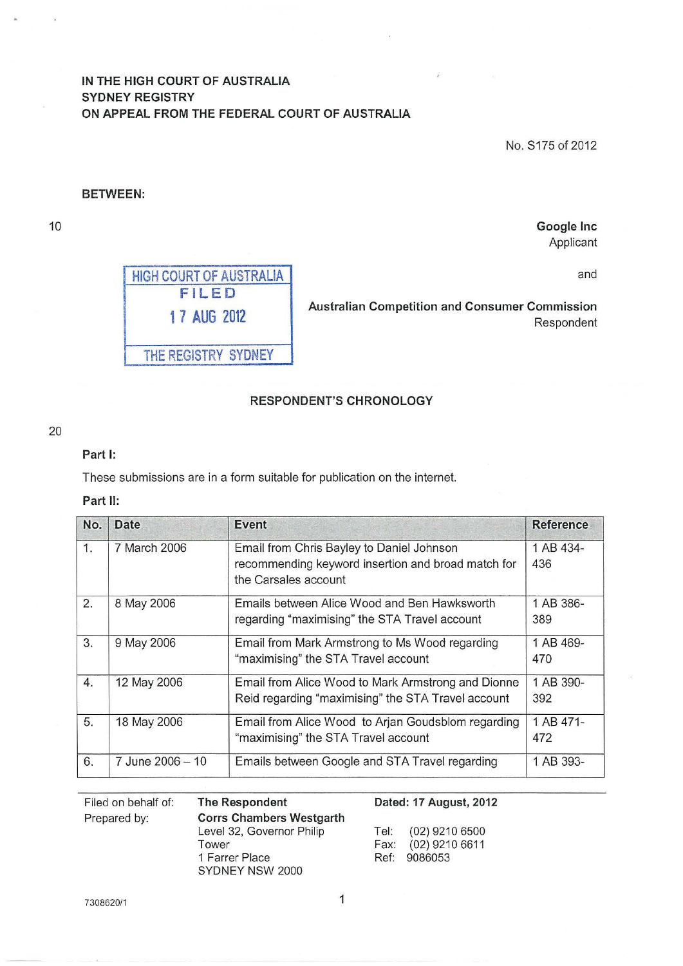# **IN THE HIGH COURT OF AUSTRALIA SYDNEY REGISTRY ON APPEAL FROM THE FEDERAL COURT OF AUSTRALIA**

No. S175 of 2012

**Google Inc**  Applicant

and

### **BETWEEN:**

10



**1 7 AUG 2012 Australian Competition and Consumer Commission**  Respondent

# **RESPONDENT'S CHRONOLOGY**

20

## **Part 1:**

These submissions are in a form suitable for publication on the internet.

#### **Part II:**

| No.              | <b>Date</b>      | <b>Event</b>                                       | <b>Reference</b> |
|------------------|------------------|----------------------------------------------------|------------------|
| 1.               | 7 March 2006     | Email from Chris Bayley to Daniel Johnson          | 1 AB 434-        |
|                  |                  | recommending keyword insertion and broad match for | 436              |
|                  |                  | the Carsales account                               |                  |
| 2.               | 8 May 2006       | Emails between Alice Wood and Ben Hawksworth       | 1 AB 386-        |
|                  |                  | regarding "maximising" the STA Travel account      | 389              |
| 3.               | 9 May 2006       | Email from Mark Armstrong to Ms Wood regarding     | 1 AB 469-        |
|                  |                  | "maximising" the STA Travel account                | 470              |
| $\overline{4}$ . | 12 May 2006      | Email from Alice Wood to Mark Armstrong and Dionne | 1 AB 390-        |
|                  |                  | Reid regarding "maximising" the STA Travel account | 392              |
| 5.               | 18 May 2006      | Email from Alice Wood to Arjan Goudsblom regarding | 1 AB 471-        |
|                  |                  | "maximising" the STA Travel account                | 472              |
| 6.               | 7 June 2006 - 10 | Emails between Google and STA Travel regarding     | 1 AB 393-        |

Filed on behalf of: Prepared by:

**The Respondent Corrs Chambers Westgarth**  Level 32, Governor Philip Tower 1 Farrer Place SYDNEY NSW 2000

#### **Dated: 17 August, 2012**

Tel: (02) 9210 6500 Fax: (02) 9210 6611 Ref: 9086053

7308620/1

1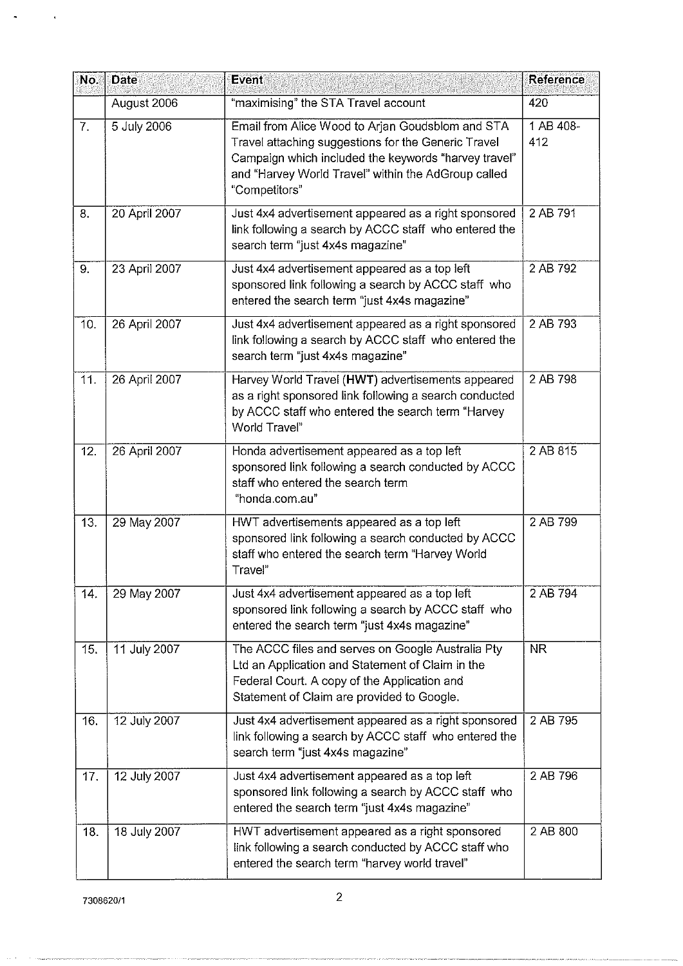| No. | <b>Date</b>   | <b>Event</b>                                                                                                                                                                                                                            | Reference        |
|-----|---------------|-----------------------------------------------------------------------------------------------------------------------------------------------------------------------------------------------------------------------------------------|------------------|
|     | August 2006   | "maximising" the STA Travel account                                                                                                                                                                                                     | 420              |
| 7.  | 5 July 2006   | Email from Alice Wood to Arjan Goudsblom and STA<br>Travel attaching suggestions for the Generic Travel<br>Campaign which included the keywords "harvey travel"<br>and "Harvey World Travel" within the AdGroup called<br>"Competitors" | 1 AB 408-<br>412 |
| 8.  | 20 April 2007 | Just 4x4 advertisement appeared as a right sponsored<br>link following a search by ACCC staff who entered the<br>search term "just 4x4s magazine"                                                                                       | 2 AB 791         |
| 9.  | 23 April 2007 | Just 4x4 advertisement appeared as a top left<br>sponsored link following a search by ACCC staff who<br>entered the search term "just 4x4s magazine"                                                                                    | 2 AB 792         |
| 10. | 26 April 2007 | Just 4x4 advertisement appeared as a right sponsored<br>link following a search by ACCC staff who entered the<br>search term "just 4x4s magazine"                                                                                       | 2 AB 793         |
| 11. | 26 April 2007 | Harvey World Travel (HWT) advertisements appeared<br>as a right sponsored link following a search conducted<br>by ACCC staff who entered the search term "Harvey<br>World Travel"                                                       | 2 AB 798         |
| 12. | 26 April 2007 | Honda advertisement appeared as a top left<br>sponsored link following a search conducted by ACCC<br>staff who entered the search term<br>"honda.com.au"                                                                                | 2 AB 815         |
| 13. | 29 May 2007   | HWT advertisements appeared as a top left<br>sponsored link following a search conducted by ACCC<br>staff who entered the search term "Harvey World<br>Travel"                                                                          | 2 AB 799         |
| 14. | 29 May 2007   | Just 4x4 advertisement appeared as a top left<br>sponsored link following a search by ACCC staff who<br>entered the search term "just 4x4s magazine"                                                                                    | 2 AB 794         |
| 15. | 11 July 2007  | The ACCC files and serves on Google Australia Pty<br>Ltd an Application and Statement of Claim in the<br>Federal Court. A copy of the Application and<br>Statement of Claim are provided to Google.                                     | <b>NR</b>        |
| 16. | 12 July 2007  | Just 4x4 advertisement appeared as a right sponsored<br>link following a search by ACCC staff who entered the<br>search term "just 4x4s magazine"                                                                                       | 2 AB 795         |
| 17. | 12 July 2007  | Just 4x4 advertisement appeared as a top left<br>sponsored link following a search by ACCC staff who<br>entered the search term "just 4x4s magazine"                                                                                    | 2 AB 796         |
| 18. | 18 July 2007  | HWT advertisement appeared as a right sponsored<br>link following a search conducted by ACCC staff who<br>entered the search term "harvey world travel"                                                                                 | 2 AB 800         |

 $\sim$   $\sim$ 

 $\tilde{\phantom{a}}$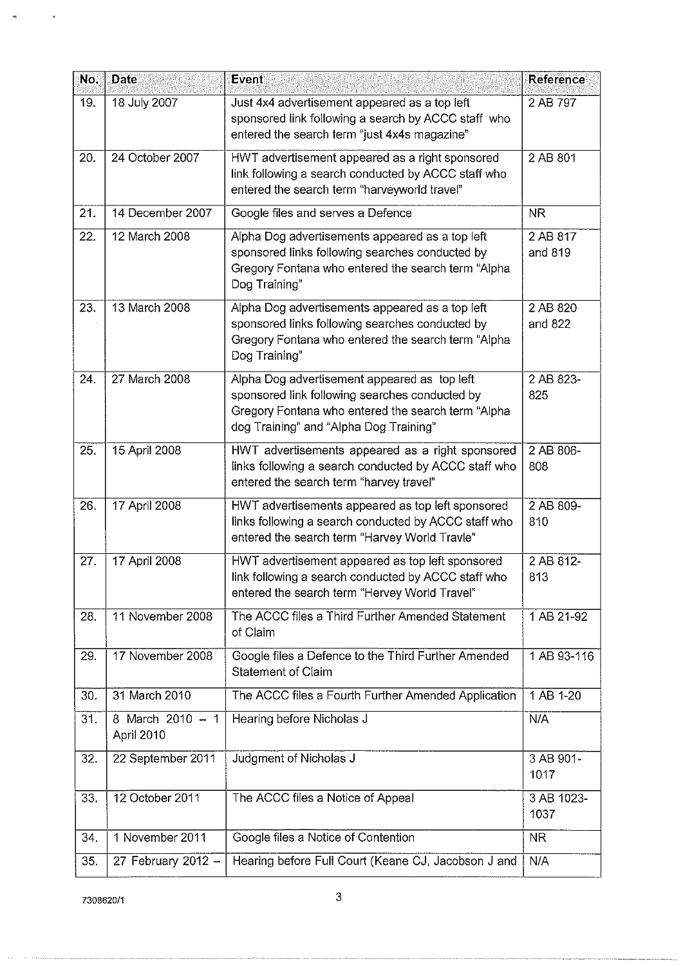| No. | <b>Date</b>                    | Event                                                                                                                                                                                          | Reference           |
|-----|--------------------------------|------------------------------------------------------------------------------------------------------------------------------------------------------------------------------------------------|---------------------|
| 19. | 18 July 2007                   | Just 4x4 advertisement appeared as a top left<br>sponsored link following a search by ACCC staff who<br>entered the search term "just 4x4s magazine"                                           | 2 AB 797            |
| 20. | 24 October 2007                | HWT advertisement appeared as a right sponsored<br>link following a search conducted by ACCC staff who<br>entered the search term "harveyworld travel"                                         | 2 AB 801            |
| 21. | 14 December 2007               | Google files and serves a Defence                                                                                                                                                              | <b>NR</b>           |
| 22. | 12 March 2008                  | Alpha Dog advertisements appeared as a top left<br>sponsored links following searches conducted by<br>Gregory Fontana who entered the search term "Alpha<br>Dog Training"                      | 2 AB 817<br>and 819 |
| 23. | 13 March 2008                  | Alpha Dog advertisements appeared as a top left<br>sponsored links following searches conducted by<br>Gregory Fontana who entered the search term "Alpha<br>Dog Training"                      | 2 AB 820<br>and 822 |
| 24. | 27 March 2008                  | Alpha Dog advertisement appeared as top left<br>sponsored link following searches conducted by<br>Gregory Fontana who entered the search term "Alpha<br>dog Training" and "Alpha Dog Training" | 2 AB 823-<br>825    |
| 25. | 15 April 2008                  | HWT advertisements appeared as a right sponsored<br>links following a search conducted by ACCC staff who<br>entered the search term "harvey travel"                                            | 2 AB 806-<br>808    |
| 26. | 17 April 2008                  | HWT advertisements appeared as top left sponsored<br>links following a search conducted by ACCC staff who<br>entered the search term "Harvey World Travle"                                     | 2 AB 809-<br>810    |
| 27. | 17 April 2008                  | HWT advertisement appeared as top left sponsored<br>link following a search conducted by ACCC staff who<br>entered the search term "Hervey World Travel"                                       | 2 AB 812-<br>813    |
| 28. | 11 November 2008               | The ACCC files a Third Further Amended Statement<br>of Claim                                                                                                                                   | 1 AB 21-92          |
| 29. | 17 November 2008               | Google files a Defence to the Third Further Amended<br><b>Statement of Claim</b>                                                                                                               | 1 AB 93-116         |
| 30. | 31 March 2010                  | The ACCC files a Fourth Further Amended Application                                                                                                                                            | 1 AB 1-20           |
| 31. | 8 March 2010 - 1<br>April 2010 | Hearing before Nicholas J                                                                                                                                                                      | N/A                 |
| 32. | 22 September 2011              | Judgment of Nicholas J                                                                                                                                                                         | 3 AB 901-<br>1017   |
| 33. | 12 October 2011                | The ACCC files a Notice of Appeal                                                                                                                                                              | 3 AB 1023-<br>1037  |
| 34. | 1 November 2011                | Google files a Notice of Contention                                                                                                                                                            | <b>NR</b>           |
| 35. | 27 February 2012 -             | Hearing before Full Court (Keane CJ, Jacobson J and                                                                                                                                            | N/A                 |

 $\langle \rangle$ 

 $\omega$